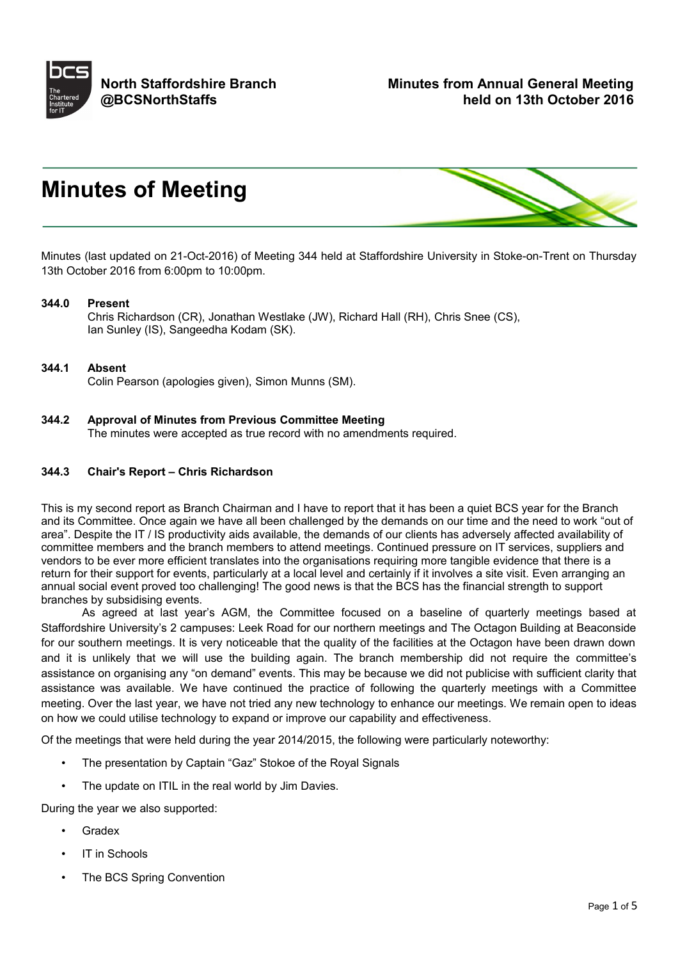

# **Minutes of Meeting**



Minutes (last updated on 21-Oct-2016) of Meeting 344 held at Staffordshire University in Stoke-on-Trent on Thursday 13th October 2016 from 6:00pm to 10:00pm.

#### **344.0 Present**

Chris Richardson (CR), Jonathan Westlake (JW), Richard Hall (RH), Chris Snee (CS), Ian Sunley (IS), Sangeedha Kodam (SK).

#### **344.1 Absent**

Colin Pearson (apologies given), Simon Munns (SM).

**344.2 Approval of Minutes from Previous Committee Meeting** The minutes were accepted as true record with no amendments required.

## **344.3 Chair's Report – Chris Richardson**

This is my second report as Branch Chairman and I have to report that it has been a quiet BCS year for the Branch and its Committee. Once again we have all been challenged by the demands on our time and the need to work "out of area". Despite the IT / IS productivity aids available, the demands of our clients has adversely affected availability of committee members and the branch members to attend meetings. Continued pressure on IT services, suppliers and vendors to be ever more efficient translates into the organisations requiring more tangible evidence that there is a return for their support for events, particularly at a local level and certainly if it involves a site visit. Even arranging an annual social event proved too challenging! The good news is that the BCS has the financial strength to support branches by subsidising events.

As agreed at last year's AGM, the Committee focused on a baseline of quarterly meetings based at Staffordshire University's 2 campuses: Leek Road for our northern meetings and The Octagon Building at Beaconside for our southern meetings. It is very noticeable that the quality of the facilities at the Octagon have been drawn down and it is unlikely that we will use the building again. The branch membership did not require the committee's assistance on organising any "on demand" events. This may be because we did not publicise with sufficient clarity that assistance was available. We have continued the practice of following the quarterly meetings with a Committee meeting. Over the last year, we have not tried any new technology to enhance our meetings. We remain open to ideas on how we could utilise technology to expand or improve our capability and effectiveness.

Of the meetings that were held during the year 2014/2015, the following were particularly noteworthy:

- The presentation by Captain "Gaz" Stokoe of the Royal Signals
- The update on ITIL in the real world by Jim Davies.

During the year we also supported:

- **Gradex**
- IT in Schools
- The BCS Spring Convention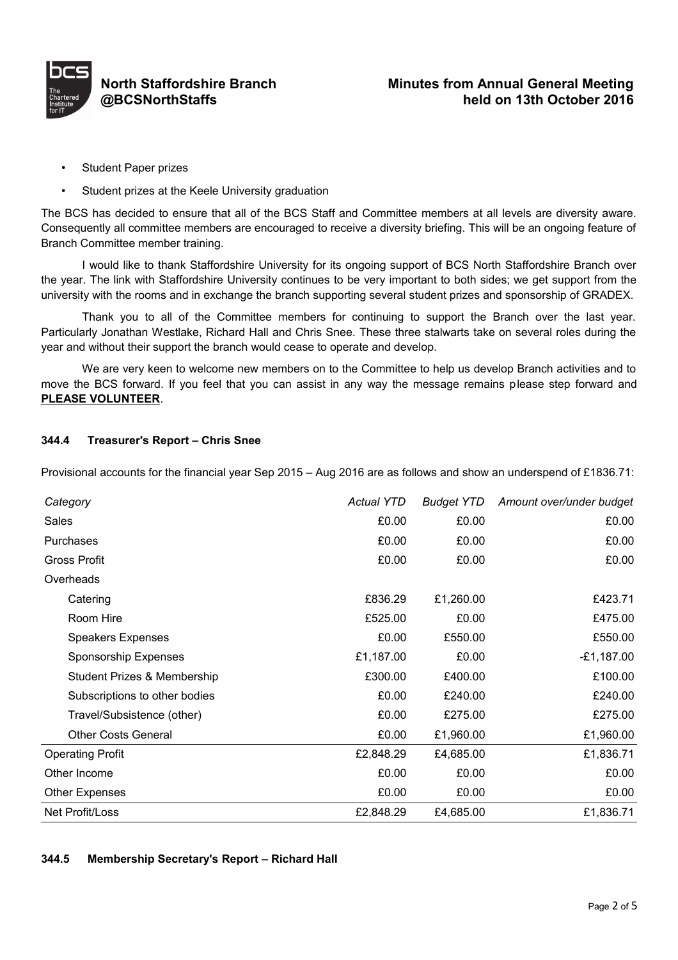

- Student Paper prizes
- Student prizes at the Keele University graduation

The BCS has decided to ensure that all of the BCS Staff and Committee members at all levels are diversity aware. Consequently all committee members are encouraged to receive a diversity briefing. This will be an ongoing feature of Branch Committee member training.

I would like to thank Staffordshire University for its ongoing support of BCS North Staffordshire Branch over the year. The link with Staffordshire University continues to be very important to both sides; we get support from the university with the rooms and in exchange the branch supporting several student prizes and sponsorship of GRADEX.

Thank you to all of the Committee members for continuing to support the Branch over the last year. Particularly Jonathan Westlake, Richard Hall and Chris Snee. These three stalwarts take on several roles during the year and without their support the branch would cease to operate and develop.

We are very keen to welcome new members on to the Committee to help us develop Branch activities and to move the BCS forward. If you feel that you can assist in any way the message remains please step forward and **PLEASE VOLUNTEER**.

## **344.4 Treasurer's Report – Chris Snee**

Provisional accounts for the financial year Sep 2015 – Aug 2016 are as follows and show an underspend of £1836.71:

| Category                      | <b>Actual YTD</b> | <b>Budget YTD</b> | Amount over/under budget |
|-------------------------------|-------------------|-------------------|--------------------------|
| Sales                         | £0.00             | £0.00             | £0.00                    |
| Purchases                     | £0.00             | £0.00             | £0.00                    |
| Gross Profit                  | £0.00             | £0.00             | £0.00                    |
| Overheads                     |                   |                   |                          |
| Catering                      | £836.29           | £1,260.00         | £423.71                  |
| Room Hire                     | £525.00           | £0.00             | £475.00                  |
| <b>Speakers Expenses</b>      | £0.00             | £550.00           | £550.00                  |
| Sponsorship Expenses          | £1,187.00         | £0.00             | $-£1,187.00$             |
| Student Prizes & Membership   | £300.00           | £400.00           | £100.00                  |
| Subscriptions to other bodies | £0.00             | £240.00           | £240.00                  |
| Travel/Subsistence (other)    | £0.00             | £275.00           | £275.00                  |
| <b>Other Costs General</b>    | £0.00             | £1,960.00         | £1,960.00                |
| <b>Operating Profit</b>       | £2,848.29         | £4,685.00         | £1,836.71                |
| Other Income                  | £0.00             | £0.00             | £0.00                    |
| <b>Other Expenses</b>         | £0.00             | £0.00             | £0.00                    |
| Net Profit/Loss               | £2,848.29         | £4,685.00         | £1,836.71                |

#### **344.5 Membership Secretary's Report – Richard Hall**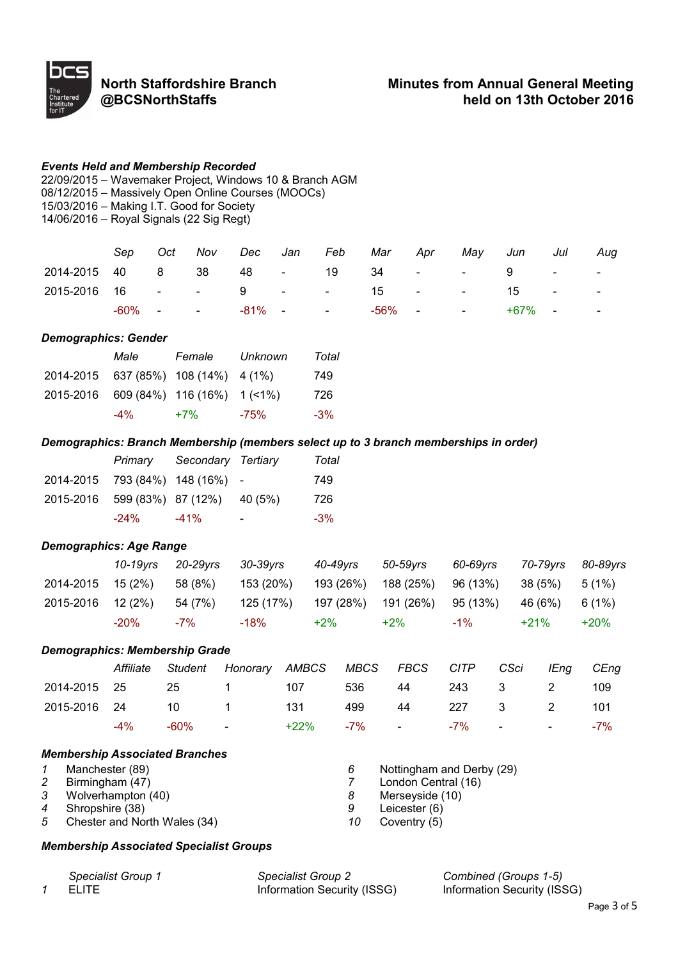

#### *Events Held and Membership Recorded*

22/09/2015 – Wavemaker Project, Windows 10 & Branch AGM 08/12/2015 – Massively Open Online Courses (MOOCs) 15/03/2016 – Making I.T. Good for Society 14/06/2016 – Royal Signals (22 Sig Regt)

*Sep Oct Nov Dec Jan Feb Mar Apr May Jun Jul Aug* 2014-2015 40 8 38 48 - 19 34 - - 9 - - 2015-2016 16 - - 9 - - 15 - - 15 - - -60% - - -81% - - -56% - - +67% - -

#### *Demographics: Gender*

|                                      | Male | Female                        | Unknown | Total  |
|--------------------------------------|------|-------------------------------|---------|--------|
| 2014-2015 637 (85%) 108 (14%) 4 (1%) |      |                               |         | 749    |
| 2015-2016                            |      | $609(84\%)$ 116 (16%) 1 (<1%) |         | 726    |
|                                      | -4%  | $+7%$                         | -75%    | $-3\%$ |

#### *Demographics: Branch Membership (members select up to 3 branch memberships in order)*

|                                      | Primary | Secondary Tertiary |                              | Total  |
|--------------------------------------|---------|--------------------|------------------------------|--------|
| 2014-2015 793 (84%) 148 (16%) -      |         |                    |                              | 749    |
| 2015-2016 599 (83%) 87 (12%) 40 (5%) |         |                    |                              | 726    |
|                                      | -24%    | $-41%$             | $\qquad \qquad \blacksquare$ | $-3\%$ |

#### *Demographics: Age Range*

|                           | 10-19vrs | 20-29vrs | 30-39vrs                                           | 40-49vrs                                    | 50-59vrs | 60-69vrs | 70-79vrs 80-89vrs |        |
|---------------------------|----------|----------|----------------------------------------------------|---------------------------------------------|----------|----------|-------------------|--------|
| 2014-2015 15 (2%) 58 (8%) |          |          | 153 (20%)                                          | 193 (26%) 188 (25%) 96 (13%) 38 (5%) 5 (1%) |          |          |                   |        |
| 2015-2016 12 (2%)         |          | 54 (7%)  | 125 (17%)  197 (28%)  191 (26%)  95 (13%)  46 (6%) |                                             |          |          |                   | 6 (1%) |
|                           | $-20\%$  | $-7\%$   | $-18%$                                             | $+2\%$                                      | $+2\%$   | -1%      | $+21%$            | $+20%$ |

#### *Demographics: Membership Grade*

|                           |  | Affiliate Student Honorary AMBCS MBCS FBCS CITP CSci IEng CEng |                    |                    |  |  |
|---------------------------|--|----------------------------------------------------------------|--------------------|--------------------|--|--|
| 2014-2015  25  25  1  107 |  |                                                                | 536 44 243 3 2 109 |                    |  |  |
| 2015-2016 24 10 1 131     |  |                                                                |                    | 499 44 227 3 2 101 |  |  |
|                           |  | -4% -60% - +22% -7% - -7% - - - -7%                            |                    |                    |  |  |

#### *Membership Associated Branches*

|   | Manchester (89)                |    | Nottingham and Derby (29) |
|---|--------------------------------|----|---------------------------|
|   | Birmingham (47)                |    | London Central (16)       |
| 3 | Wolverhampton (40)             |    | Merseyside (10)           |
|   | 4 Shropshire (38)              | 9  | Leicester (6)             |
|   | 5 Chester and North Wales (34) | 10 | Coventry (5)              |

#### *Membership Associated Specialist Groups*

| Specialist Group 1 | <b>Specialist Group 2</b>   | Combin   |
|--------------------|-----------------------------|----------|
| ELITE.             | Information Security (ISSG) | Informat |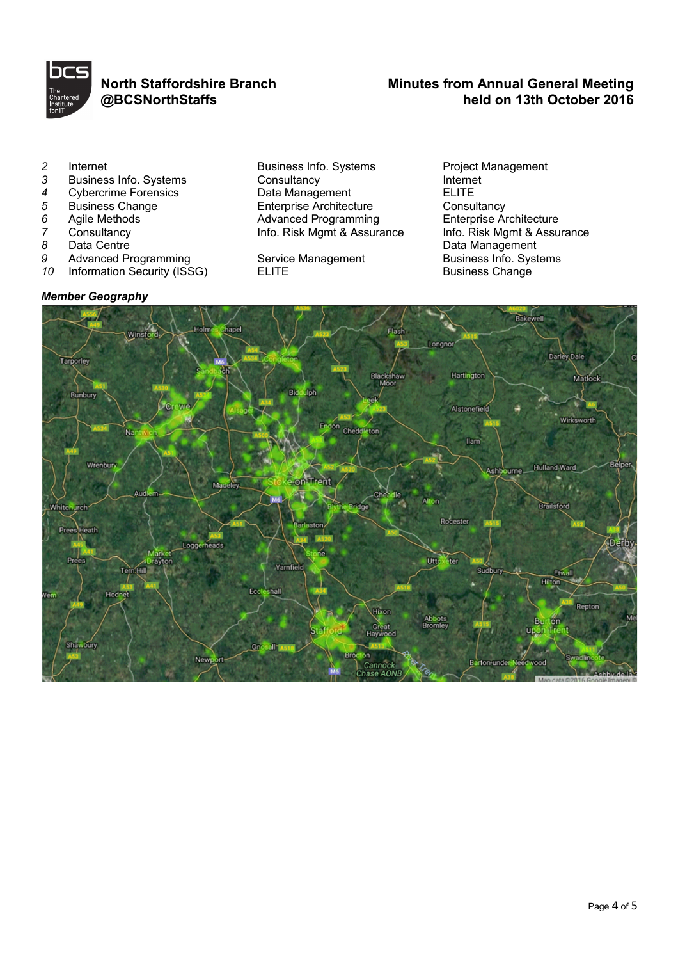

# **North Staffordshire Branch @BCSNorthStaffs**

# **Minutes from Annual General Meeting held on 13th October 2016**

- 
- 
- 
- 
- 
- 
- 
- 
- **Information Security (ISSG)**

# *Member Geography*

2 Internet **Business Info. Systems** Project Management<br>3 Business Info. Systems Consultancy Consultants Internet 3 Business Info. Systems Consultancy<br>
4 Cybercrime Forensics Data Management ELITE 4 Cybercrime Forensics **Data Management** ELITE<br>
5 Business Change **Data Management** Enterprise Architecture Consultancy **5** Business Change **Enterprise Architecture** Consultancy<br> **6** Agile Methods **Consultance Architecture** Advanced Programming Enterprise Architecture **6** Agile Methods **All Advanced Programming** Enterprise Architecture<br>
7 Consultancy **Advance Consultance Architecture**<br> **Advanced Programming** Enterprise Architecture *7* Consultancy **Info. Risk Mgmt & Assurance** 8 Data Centre

9 Advanced Programming Service Management Business Info. System of the System of the System of the System of the Information Security (ISSG)

a Data Centre<br> **8** Data Management<br>
2 Advanced Programming Service Management<br>
2 **Data Management**<br>
Business Info. Systems